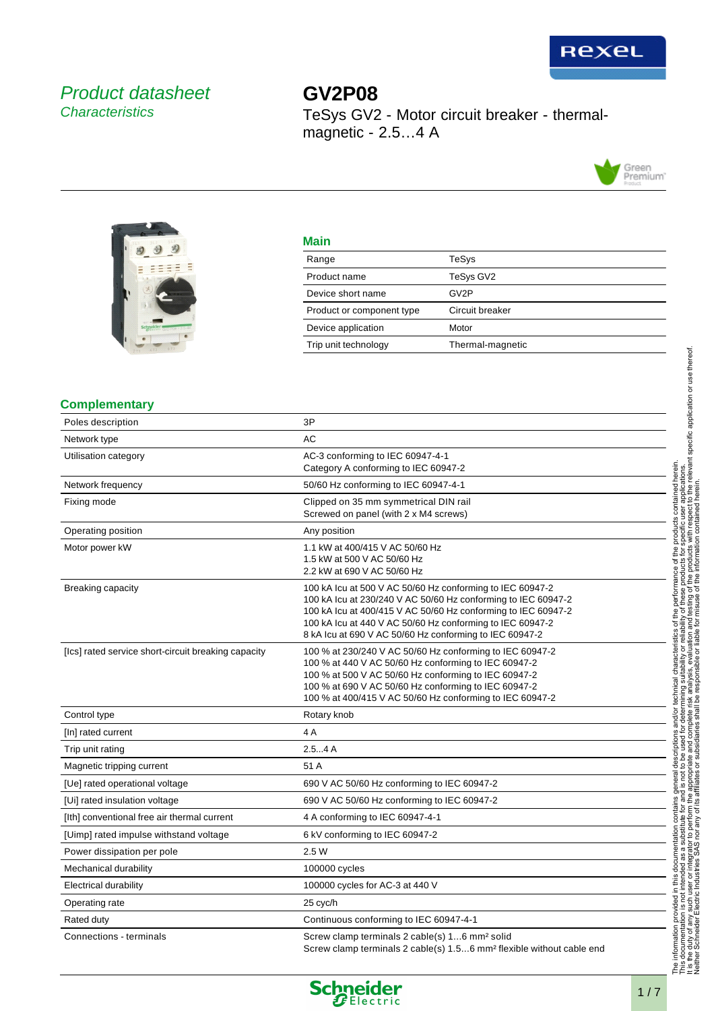

# Product datasheet **Characteristics**

**GV2P08** TeSys GV2 - Motor circuit breaker - thermalmagnetic - 2.5...4 A





## **Main**

| Range                     | TeSys             |
|---------------------------|-------------------|
| Product name              | TeSys GV2         |
| Device short name         | GV <sub>2</sub> P |
| Product or component type | Circuit breaker   |
| Device application        | Motor             |
| Trip unit technology      | Thermal-magnetic  |

## **Complementary**

| Poles description                                   | 3P                                                                                                                                                                                                                                                                                                                  |  |
|-----------------------------------------------------|---------------------------------------------------------------------------------------------------------------------------------------------------------------------------------------------------------------------------------------------------------------------------------------------------------------------|--|
| Network type                                        | AC                                                                                                                                                                                                                                                                                                                  |  |
| Utilisation category                                | AC-3 conforming to IEC 60947-4-1<br>Category A conforming to IEC 60947-2                                                                                                                                                                                                                                            |  |
| Network frequency                                   | 50/60 Hz conforming to IEC 60947-4-1                                                                                                                                                                                                                                                                                |  |
| Fixing mode                                         | Clipped on 35 mm symmetrical DIN rail<br>Screwed on panel (with 2 x M4 screws)                                                                                                                                                                                                                                      |  |
| Operating position                                  | Any position                                                                                                                                                                                                                                                                                                        |  |
| Motor power kW                                      | 1.1 kW at 400/415 V AC 50/60 Hz<br>1.5 kW at 500 V AC 50/60 Hz<br>2.2 kW at 690 V AC 50/60 Hz                                                                                                                                                                                                                       |  |
| Breaking capacity                                   | 100 kA lcu at 500 V AC 50/60 Hz conforming to IEC 60947-2<br>100 kA Icu at 230/240 V AC 50/60 Hz conforming to IEC 60947-2<br>100 kA Icu at 400/415 V AC 50/60 Hz conforming to IEC 60947-2<br>100 kA lcu at 440 V AC 50/60 Hz conforming to IEC 60947-2<br>8 kA Icu at 690 V AC 50/60 Hz conforming to IEC 60947-2 |  |
| [Ics] rated service short-circuit breaking capacity | 100 % at 230/240 V AC 50/60 Hz conforming to IEC 60947-2<br>100 % at 440 V AC 50/60 Hz conforming to IEC 60947-2<br>100 % at 500 V AC 50/60 Hz conforming to IEC 60947-2<br>100 % at 690 V AC 50/60 Hz conforming to IEC 60947-2<br>100 % at 400/415 V AC 50/60 Hz conforming to IEC 60947-2                        |  |
| Control type                                        | Rotary knob                                                                                                                                                                                                                                                                                                         |  |
| [In] rated current                                  | 4 A                                                                                                                                                                                                                                                                                                                 |  |
| Trip unit rating                                    | 2.54A                                                                                                                                                                                                                                                                                                               |  |
| Magnetic tripping current                           | 51 A                                                                                                                                                                                                                                                                                                                |  |
| [Ue] rated operational voltage                      | 690 V AC 50/60 Hz conforming to IEC 60947-2                                                                                                                                                                                                                                                                         |  |
| [Ui] rated insulation voltage                       | 690 V AC 50/60 Hz conforming to IEC 60947-2                                                                                                                                                                                                                                                                         |  |
| [Ith] conventional free air thermal current         | 4 A conforming to IEC 60947-4-1                                                                                                                                                                                                                                                                                     |  |
| [Uimp] rated impulse withstand voltage              | 6 kV conforming to IEC 60947-2                                                                                                                                                                                                                                                                                      |  |
| Power dissipation per pole                          | 2.5W                                                                                                                                                                                                                                                                                                                |  |
| Mechanical durability                               | 100000 cycles                                                                                                                                                                                                                                                                                                       |  |
| <b>Electrical durability</b>                        | 100000 cycles for AC-3 at 440 V                                                                                                                                                                                                                                                                                     |  |
| Operating rate                                      | 25 cyc/h                                                                                                                                                                                                                                                                                                            |  |
| Rated duty                                          | Continuous conforming to IEC 60947-4-1                                                                                                                                                                                                                                                                              |  |
| Connections - terminals                             | Screw clamp terminals 2 cable(s) 16 mm <sup>2</sup> solid<br>Screw clamp terminals 2 cable(s) 1.56 mm <sup>2</sup> flexible without cable end                                                                                                                                                                       |  |

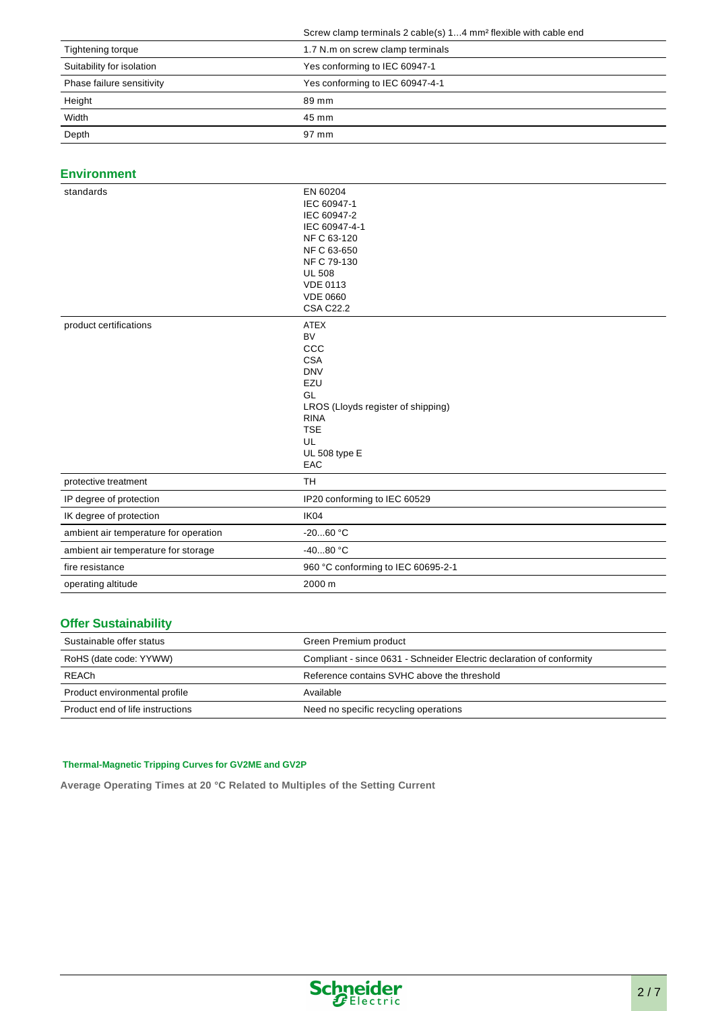|                           | Screw clamp terminals 2 cable(s) 14 mm <sup>2</sup> flexible with cable end |  |  |
|---------------------------|-----------------------------------------------------------------------------|--|--|
| Tightening torque         | 1.7 N.m on screw clamp terminals                                            |  |  |
| Suitability for isolation | Yes conforming to IEC 60947-1                                               |  |  |
| Phase failure sensitivity | Yes conforming to IEC 60947-4-1                                             |  |  |
| Height                    | 89 mm                                                                       |  |  |
| Width                     | 45 mm                                                                       |  |  |
| Depth                     | 97 mm                                                                       |  |  |

#### **Environment**

| standards                             | EN 60204<br>IEC 60947-1<br>IEC 60947-2<br>IEC 60947-4-1<br>NF C 63-120<br>NF C 63-650<br>NF C 79-130<br><b>UL 508</b><br><b>VDE 0113</b><br><b>VDE 0660</b><br><b>CSA C22.2</b> |
|---------------------------------------|---------------------------------------------------------------------------------------------------------------------------------------------------------------------------------|
| product certifications                | <b>ATEX</b><br><b>BV</b><br>CCC<br><b>CSA</b><br><b>DNV</b><br>EZU<br>GL<br>LROS (Lloyds register of shipping)<br><b>RINA</b><br><b>TSE</b><br>UL<br>UL 508 type E<br>EAC       |
| protective treatment                  | <b>TH</b>                                                                                                                                                                       |
| IP degree of protection               | IP20 conforming to IEC 60529                                                                                                                                                    |
| IK degree of protection               | IK04                                                                                                                                                                            |
| ambient air temperature for operation | $-2060 °C$                                                                                                                                                                      |
| ambient air temperature for storage   | $-4080 °C$                                                                                                                                                                      |
| fire resistance                       | 960 °C conforming to IEC 60695-2-1                                                                                                                                              |
| operating altitude                    | 2000 m                                                                                                                                                                          |

## **Offer Sustainability**

| Sustainable offer status         | Green Premium product                                                 |
|----------------------------------|-----------------------------------------------------------------------|
| RoHS (date code: YYWW)           | Compliant - since 0631 - Schneider Electric declaration of conformity |
| <b>REACh</b>                     | Reference contains SVHC above the threshold                           |
| Product environmental profile    | Available                                                             |
| Product end of life instructions | Need no specific recycling operations                                 |

### **Thermal-Magnetic Tripping Curves for GV2ME and GV2P**

**Average Operating Times at 20 °C Related to Multiples of the Setting Current**

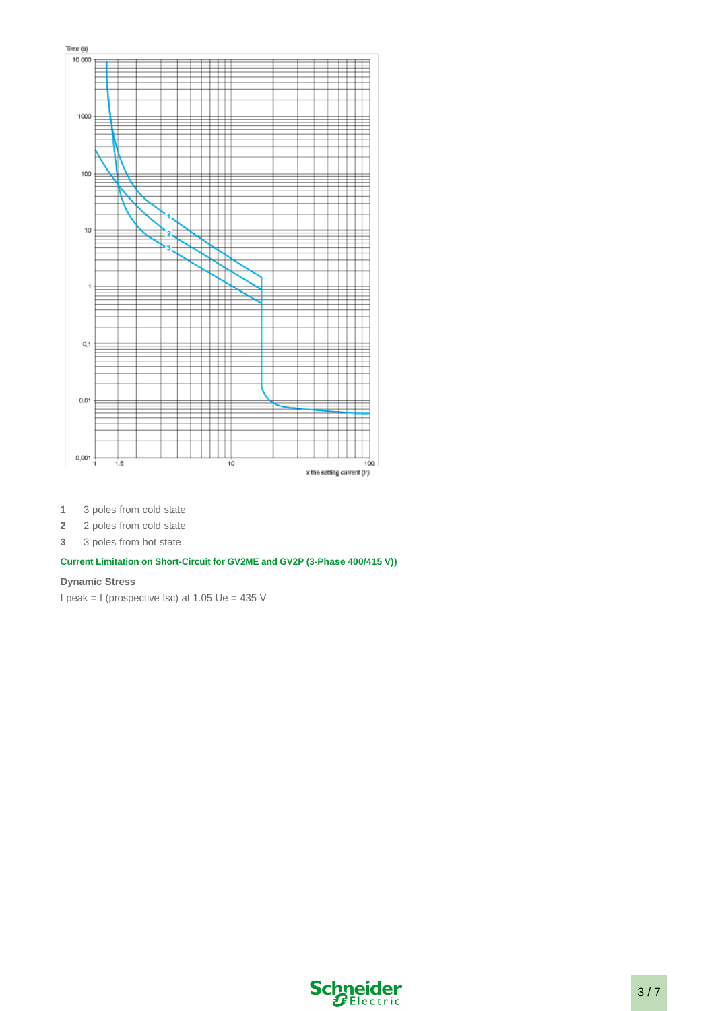

**1** 3 poles from cold state

**2** 2 poles from cold state

**3** 3 poles from hot state

#### **Current Limitation on Short-Circuit for GV2ME and GV2P (3-Phase 400/415 V))**

#### **Dynamic Stress**

I peak = f (prospective Isc) at 1.05 Ue = 435 V

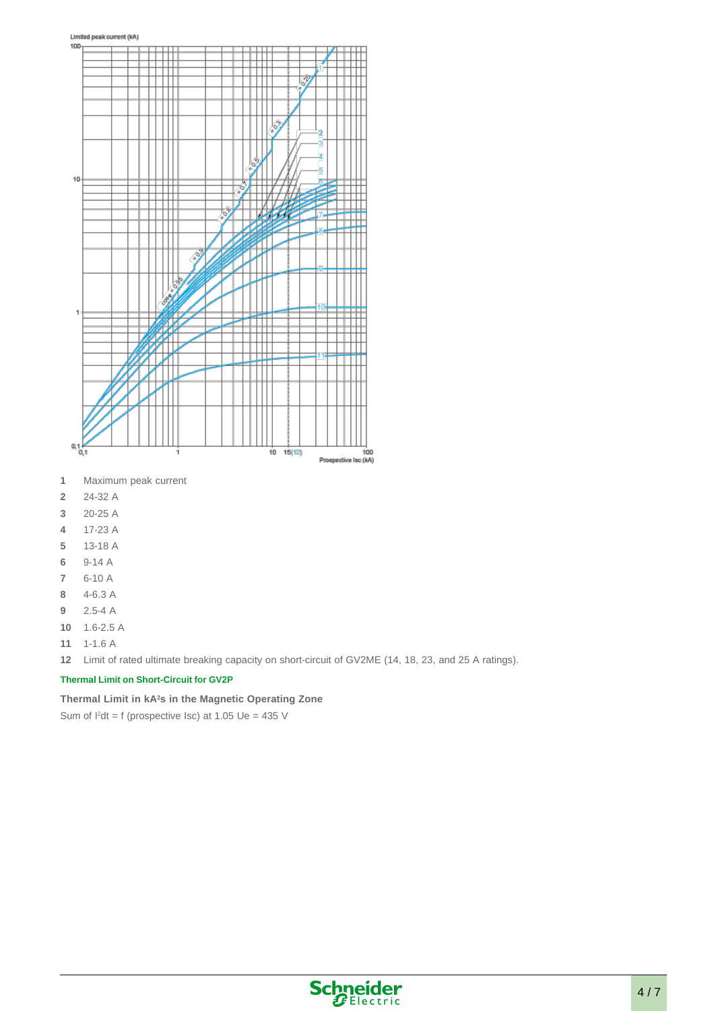

- Maximum peak current
- 24-32 A
- 20-25 A
- 17-23 A
- 13-18 A
- 9-14 A
- 6-10 A
- 4-6.3 A
- 2.5-4 A
- 1.6-2.5 A
- 1-1.6 A
- Limit of rated ultimate breaking capacity on short-circuit of GV2ME (14, 18, 23, and 25 A ratings).

#### **Thermal Limit on Short-Circuit for GV2P**

#### **Thermal Limit in kA2s in the Magnetic Operating Zone**

Sum of  $I^2$ dt = f (prospective Isc) at 1.05 Ue = 435 V

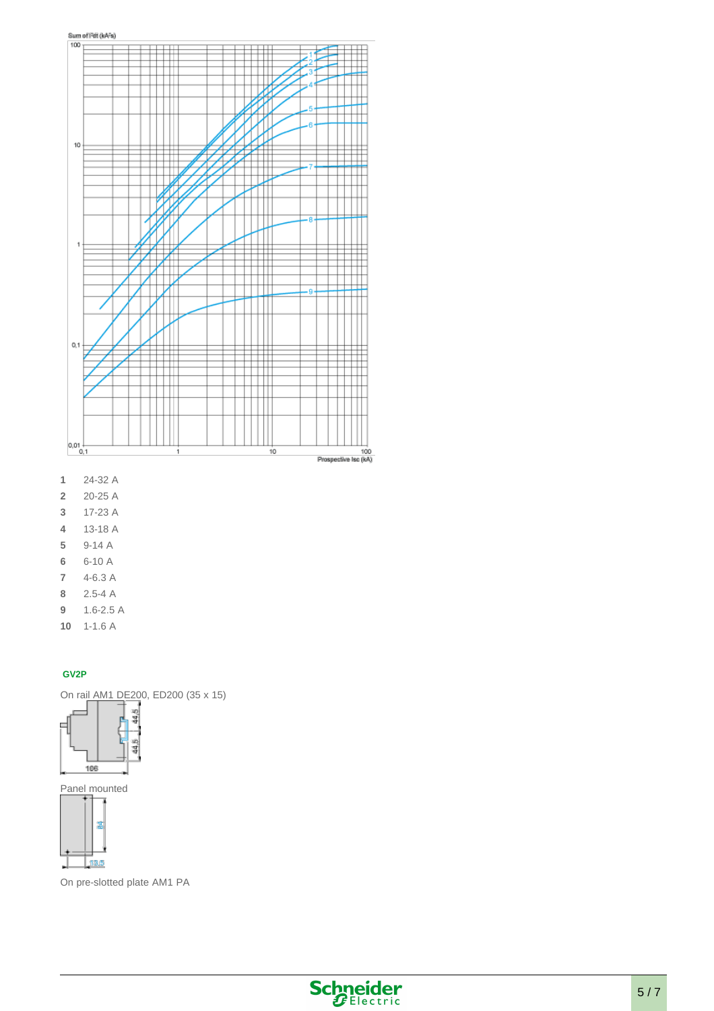



- 24-32 A
- 20-25 A
- 17-23 A
- 13-18 A
- 9-14 A
- 6-10 A
- 4-6.3 A
- 2.5-4 A
- 1.6-2.5 A
- 1-1.6 A

#### **GV2P**

On rail AM1 DE200, ED200 (35 x 15)



Panel mounted



On pre-slotted plate AM1 PA

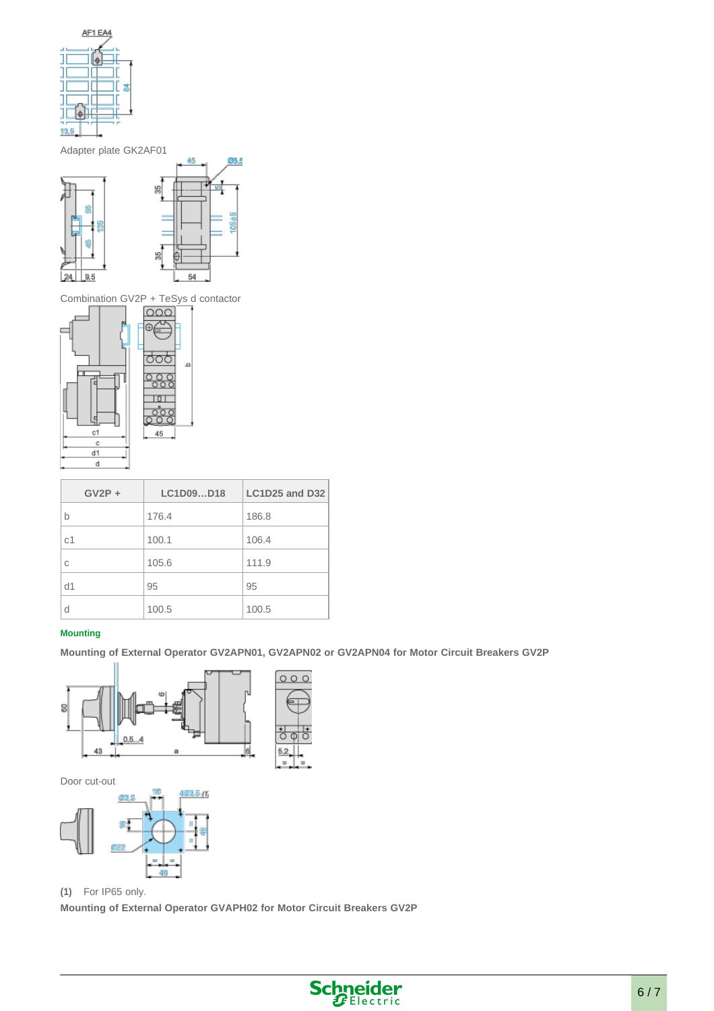

Adapter plate GK2AF01



Combination GV2P + TeSys d contactor



| $GV2P +$       | LC1D09D18 | LC1D25 and D32 |
|----------------|-----------|----------------|
| b              | 176.4     | 186.8          |
| c <sub>1</sub> | 100.1     | 106.4          |
| C              | 105.6     | 111.9          |
| d1             | 95        | 95             |
|                | 100.5     | 100.5          |

#### **Mounting**

**Mounting of External Operator GV2APN01, GV2APN02 or GV2APN04 for Motor Circuit Breakers GV2P**



Door cut-out



**(1)** For IP65 only.

**Mounting of External Operator GVAPH02 for Motor Circuit Breakers GV2P**